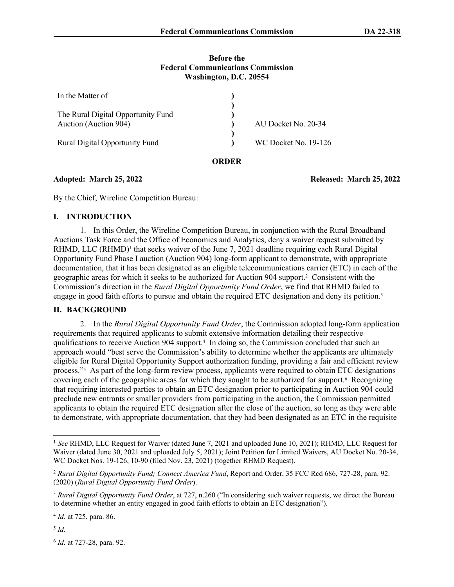## **Before the Federal Communications Commission Washington, D.C. 20554**

| In the Matter of                      |                             |  |
|---------------------------------------|-----------------------------|--|
| The Rural Digital Opportunity Fund    |                             |  |
| Auction (Auction 904)                 | AU Docket No. 20-34         |  |
| <b>Rural Digital Opportunity Fund</b> | <b>WC Docket No. 19-126</b> |  |

# **ORDER**

**Adopted: March 25, 2022 Released: March 25, 2022**

By the Chief, Wireline Competition Bureau:

## **I. INTRODUCTION**

1. In this Order, the Wireline Competition Bureau, in conjunction with the Rural Broadband Auctions Task Force and the Office of Economics and Analytics, deny a waiver request submitted by RHMD, LLC (RHMD)<sup>1</sup> that seeks waiver of the June 7, 2021 deadline requiring each Rural Digital Opportunity Fund Phase I auction (Auction 904) long-form applicant to demonstrate, with appropriate documentation, that it has been designated as an eligible telecommunications carrier (ETC) in each of the geographic areas for which it seeks to be authorized for Auction 904 support.<sup>2</sup> Consistent with the Commission's direction in the *Rural Digital Opportunity Fund Order*, we find that RHMD failed to engage in good faith efforts to pursue and obtain the required ETC designation and deny its petition.<sup>3</sup>

## **II. BACKGROUND**

2. In the *Rural Digital Opportunity Fund Order*, the Commission adopted long-form application requirements that required applicants to submit extensive information detailing their respective qualifications to receive Auction 904 support.<sup>4</sup> In doing so, the Commission concluded that such an approach would "best serve the Commission's ability to determine whether the applicants are ultimately eligible for Rural Digital Opportunity Support authorization funding, providing a fair and efficient review process."<sup>5</sup> As part of the long-form review process, applicants were required to obtain ETC designations covering each of the geographic areas for which they sought to be authorized for support.<sup>6</sup> Recognizing that requiring interested parties to obtain an ETC designation prior to participating in Auction 904 could preclude new entrants or smaller providers from participating in the auction, the Commission permitted applicants to obtain the required ETC designation after the close of the auction, so long as they were able to demonstrate, with appropriate documentation, that they had been designated as an ETC in the requisite

5 *Id.*

6 *Id.* at 727-28, para. 92.

<sup>1</sup> *See* RHMD, LLC Request for Waiver (dated June 7, 2021 and uploaded June 10, 2021); RHMD, LLC Request for Waiver (dated June 30, 2021 and uploaded July 5, 2021); Joint Petition for Limited Waivers, AU Docket No. 20-34, WC Docket Nos. 19-126, 10-90 (filed Nov. 23, 2021) (together RHMD Request).

<sup>2</sup> *Rural Digital Opportunity Fund; Connect America Fund*, Report and Order, 35 FCC Rcd 686, 727-28, para. 92. (2020) (*Rural Digital Opportunity Fund Order*).

<sup>3</sup> *Rural Digital Opportunity Fund Order*, at 727, n.260 ("In considering such waiver requests, we direct the Bureau to determine whether an entity engaged in good faith efforts to obtain an ETC designation").

<sup>4</sup> *Id.* at 725, para. 86.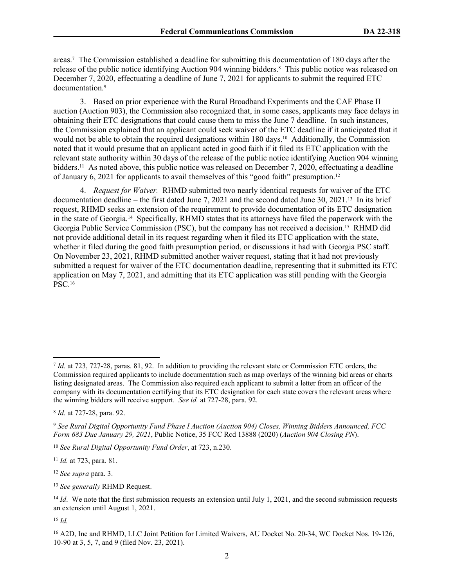areas.<sup>7</sup> The Commission established a deadline for submitting this documentation of 180 days after the release of the public notice identifying Auction 904 winning bidders.<sup>8</sup> This public notice was released on December 7, 2020, effectuating a deadline of June 7, 2021 for applicants to submit the required ETC documentation.<sup>9</sup>

3. Based on prior experience with the Rural Broadband Experiments and the CAF Phase II auction (Auction 903), the Commission also recognized that, in some cases, applicants may face delays in obtaining their ETC designations that could cause them to miss the June 7 deadline. In such instances, the Commission explained that an applicant could seek waiver of the ETC deadline if it anticipated that it would not be able to obtain the required designations within 180 days.<sup>10</sup> Additionally, the Commission noted that it would presume that an applicant acted in good faith if it filed its ETC application with the relevant state authority within 30 days of the release of the public notice identifying Auction 904 winning bidders.11 As noted above, this public notice was released on December 7, 2020, effectuating a deadline of January 6, 2021 for applicants to avail themselves of this "good faith" presumption.<sup>12</sup>

4. *Request for Waiver.* RHMD submitted two nearly identical requests for waiver of the ETC documentation deadline – the first dated June 7, 2021 and the second dated June 30, 2021.13 In its brief request, RHMD seeks an extension of the requirement to provide documentation of its ETC designation in the state of Georgia.14 Specifically, RHMD states that its attorneys have filed the paperwork with the Georgia Public Service Commission (PSC), but the company has not received a decision.15 RHMD did not provide additional detail in its request regarding when it filed its ETC application with the state, whether it filed during the good faith presumption period, or discussions it had with Georgia PSC staff. On November 23, 2021, RHMD submitted another waiver request, stating that it had not previously submitted a request for waiver of the ETC documentation deadline, representing that it submitted its ETC application on May 7, 2021, and admitting that its ETC application was still pending with the Georgia PSC.<sup>16</sup>

<sup>13</sup> *See generally* RHMD Request.

<sup>15</sup> *Id.*

<sup>7</sup> *Id.* at 723, 727-28, paras. 81, 92. In addition to providing the relevant state or Commission ETC orders, the Commission required applicants to include documentation such as map overlays of the winning bid areas or charts listing designated areas. The Commission also required each applicant to submit a letter from an officer of the company with its documentation certifying that its ETC designation for each state covers the relevant areas where the winning bidders will receive support. *See id.* at 727-28, para. 92.

<sup>8</sup> *Id.* at 727-28, para. 92.

<sup>9</sup> *See Rural Digital Opportunity Fund Phase I Auction (Auction 904) Closes, Winning Bidders Announced, FCC Form 683 Due January 29, 2021*, Public Notice, 35 FCC Rcd 13888 (2020) (*Auction 904 Closing PN*).

<sup>10</sup> *See Rural Digital Opportunity Fund Order*, at 723, n.230.

<sup>11</sup> *Id.* at 723, para. 81.

<sup>12</sup> *See supra* para. 3.

<sup>&</sup>lt;sup>14</sup> *Id*. We note that the first submission requests an extension until July 1, 2021, and the second submission requests an extension until August 1, 2021.

<sup>&</sup>lt;sup>16</sup> A2D, Inc and RHMD, LLC Joint Petition for Limited Waivers, AU Docket No. 20-34, WC Docket Nos. 19-126, 10-90 at 3, 5, 7, and 9 (filed Nov. 23, 2021).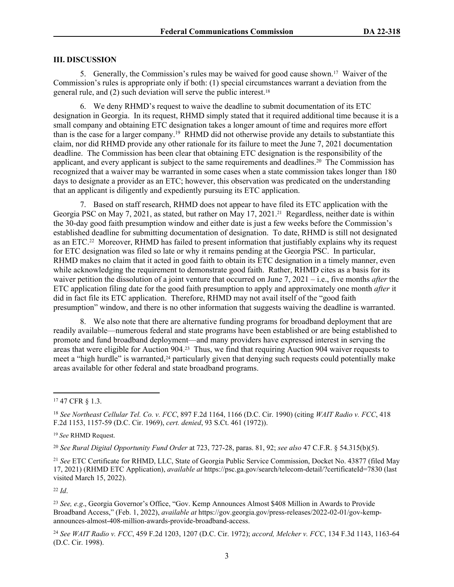## **III. DISCUSSION**

5. Generally, the Commission's rules may be waived for good cause shown.17 Waiver of the Commission's rules is appropriate only if both: (1) special circumstances warrant a deviation from the general rule, and (2) such deviation will serve the public interest.<sup>18</sup>

6. We deny RHMD's request to waive the deadline to submit documentation of its ETC designation in Georgia. In its request, RHMD simply stated that it required additional time because it is a small company and obtaining ETC designation takes a longer amount of time and requires more effort than is the case for a larger company.<sup>19</sup> RHMD did not otherwise provide any details to substantiate this claim, nor did RHMD provide any other rationale for its failure to meet the June 7, 2021 documentation deadline. The Commission has been clear that obtaining ETC designation is the responsibility of the applicant, and every applicant is subject to the same requirements and deadlines.<sup>20</sup> The Commission has recognized that a waiver may be warranted in some cases when a state commission takes longer than 180 days to designate a provider as an ETC; however, this observation was predicated on the understanding that an applicant is diligently and expediently pursuing its ETC application.

7. Based on staff research, RHMD does not appear to have filed its ETC application with the Georgia PSC on May 7, 2021, as stated, but rather on May 17, 2021.21 Regardless, neither date is within the 30-day good faith presumption window and either date is just a few weeks before the Commission's established deadline for submitting documentation of designation. To date, RHMD is still not designated as an ETC.22 Moreover, RHMD has failed to present information that justifiably explains why its request for ETC designation was filed so late or why it remains pending at the Georgia PSC. In particular, RHMD makes no claim that it acted in good faith to obtain its ETC designation in a timely manner, even while acknowledging the requirement to demonstrate good faith. Rather, RHMD cites as a basis for its waiver petition the dissolution of a joint venture that occurred on June 7, 2021 – i.e., five months *after* the ETC application filing date for the good faith presumption to apply and approximately one month *after* it did in fact file its ETC application. Therefore, RHMD may not avail itself of the "good faith presumption" window, and there is no other information that suggests waiving the deadline is warranted.

8. We also note that there are alternative funding programs for broadband deployment that are readily available—numerous federal and state programs have been established or are being established to promote and fund broadband deployment—and many providers have expressed interest in serving the areas that were eligible for Auction 904.23 Thus, we find that requiring Auction 904 waiver requests to meet a "high hurdle" is warranted,<sup>24</sup> particularly given that denying such requests could potentially make areas available for other federal and state broadband programs.

<sup>22</sup> *Id*.

<sup>23</sup> *See, e.g*., Georgia Governor's Office, "Gov. Kemp Announces Almost \$408 Million in Awards to Provide Broadband Access," (Feb. 1, 2022), *available at* https://gov.georgia.gov/press-releases/2022-02-01/gov-kempannounces-almost-408-million-awards-provide-broadband-access.

<sup>24</sup> *See WAIT Radio v. FCC*, 459 F.2d 1203, 1207 (D.C. Cir. 1972); *accord, Melcher v. FCC*, 134 F.3d 1143, 1163-64 (D.C. Cir. 1998).

<sup>17</sup> 47 CFR § 1.3.

<sup>18</sup> *See Northeast Cellular Tel. Co. v. FCC*, 897 F.2d 1164, 1166 (D.C. Cir. 1990) (citing *WAIT Radio v. FCC*, 418 F.2d 1153, 1157-59 (D.C. Cir. 1969), *cert. denied*, 93 S.Ct. 461 (1972)).

<sup>19</sup> *See* RHMD Request.

<sup>20</sup> *See Rural Digital Opportunity Fund Order* at 723, 727-28, paras. 81, 92; *see also* 47 C.F.R. § 54.315(b)(5).

<sup>21</sup> *See* ETC Certificate for RHMD, LLC, State of Georgia Public Service Commission, Docket No. 43877 (filed May 17, 2021) (RHMD ETC Application), *available at* https://psc.ga.gov/search/telecom-detail/?certificateId=7830 (last visited March 15, 2022).